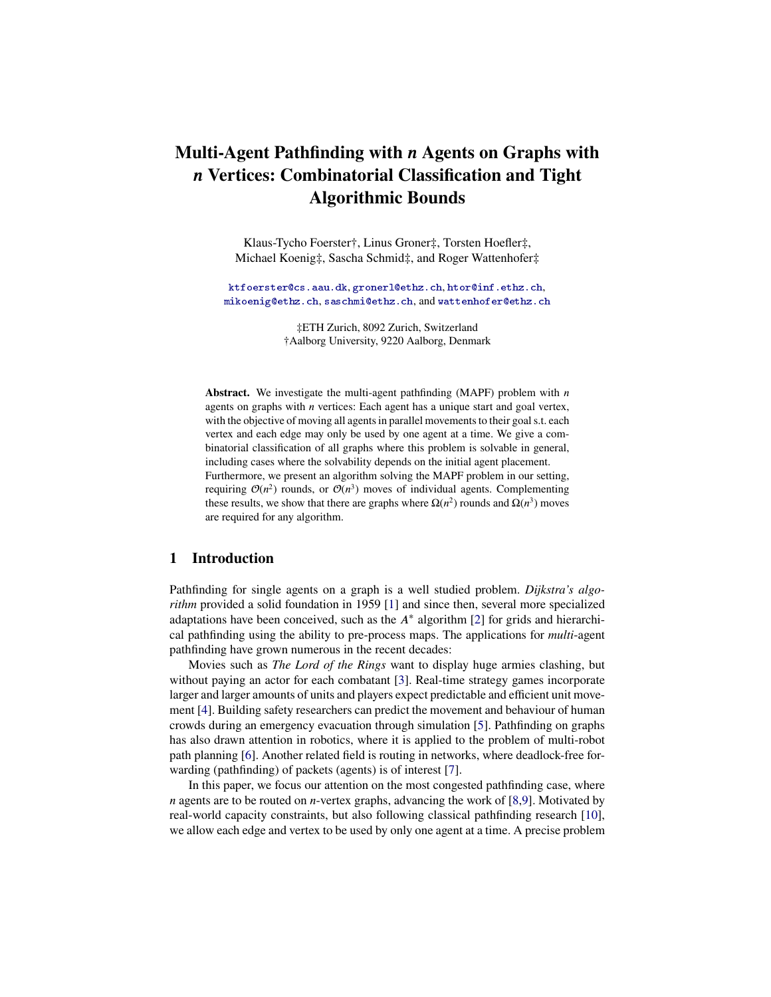# **Multi-Agent Pathfinding with** *𝒏* **Agents on Graphs with** *𝒏* **Vertices: Combinatorial Classification and Tight Algorithmic Bounds**

Klaus-Tycho Foerster†, Linus Groner‡, Torsten Hoefler‡, Michael Koenig‡, Sascha Schmid‡, and Roger Wattenhofer‡

<ktfoerster@cs.aau.dk>, <gronerl@ethz.ch>, <htor@inf.ethz.ch>, <mikoenig@ethz.ch>, <saschmi@ethz.ch>, and <wattenhofer@ethz.ch>

> ‡ETH Zurich, 8092 Zurich, Switzerland †Aalborg University, 9220 Aalborg, Denmark

Abstract. We investigate the multi-agent pathfinding (MAPF) problem with *n* agents on graphs with *n* vertices: Each agent has a unique start and goal vertex, with the objective of moving all agents in parallel movements to their goal s.t. each vertex and each edge may only be used by one agent at a time. We give a combinatorial classification of all graphs where this problem is solvable in general, including cases where the solvability depends on the initial agent placement. Furthermore, we present an algorithm solving the MAPF problem in our setting, requiring  $\mathcal{O}(n^2)$  rounds, or  $\mathcal{O}(n^3)$  moves of individual agents. Complementing these results, we show that there are graphs where  $\Omega(n^2)$  rounds and  $\Omega(n^3)$  moves are required for any algorithm.

# **1 Introduction**

Pathfinding for single agents on a graph is a well studied problem. *Dijkstra's algorithm* provided a solid foundation in 1959 [\[1\]](#page-11-0) and since then, several more specialized adaptations have been conceived, such as the  $A^*$  algorithm [\[2\]](#page-11-1) for grids and hierarchical pathfinding using the ability to pre-process maps. The applications for *multi*-agent pathfinding have grown numerous in the recent decades:

Movies such as *The Lord of the Rings* want to display huge armies clashing, but without paying an actor for each combatant [\[3\]](#page-11-2). Real-time strategy games incorporate larger and larger amounts of units and players expect predictable and efficient unit movement [\[4\]](#page-11-3). Building safety researchers can predict the movement and behaviour of human crowds during an emergency evacuation through simulation [\[5\]](#page-11-4). Pathfinding on graphs has also drawn attention in robotics, where it is applied to the problem of multi-robot path planning [\[6\]](#page-11-5). Another related field is routing in networks, where deadlock-free forwarding (pathfinding) of packets (agents) is of interest [\[7\]](#page-11-6).

In this paper, we focus our attention on the most congested pathfinding case, where *n* agents are to be routed on *n*-vertex graphs, advancing the work of [\[8,](#page-11-7)[9\]](#page-11-8). Motivated by real-world capacity constraints, but also following classical pathfinding research [\[10\]](#page-11-9), we allow each edge and vertex to be used by only one agent at a time. A precise problem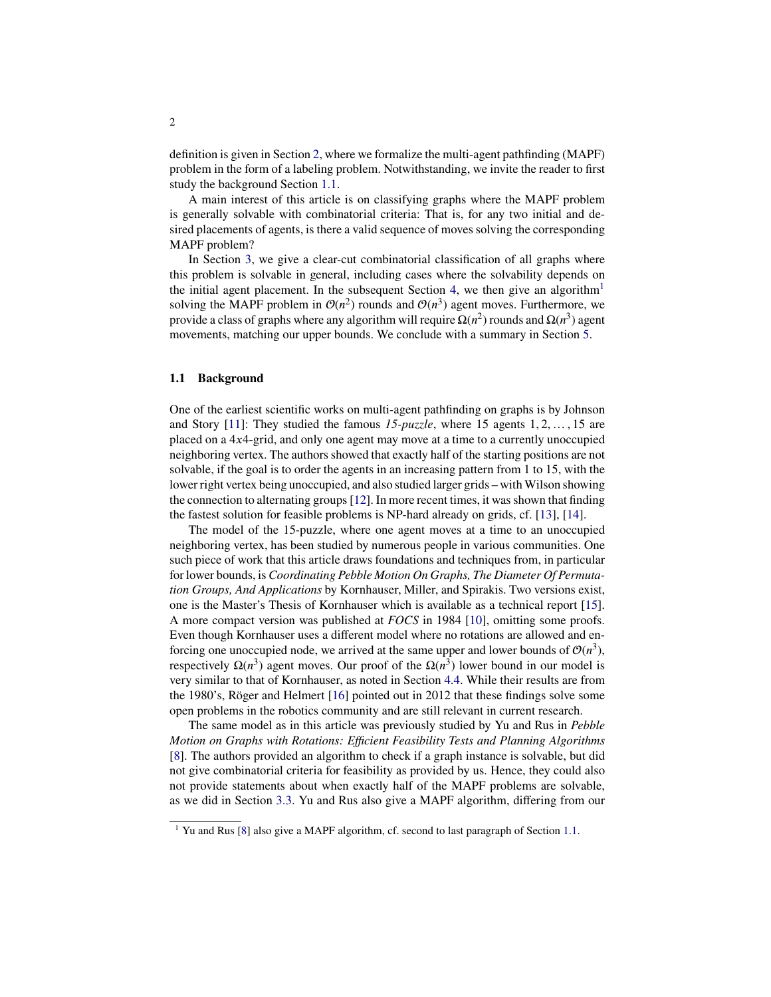definition is given in Section [2,](#page-2-0) where we formalize the multi-agent pathfinding (MAPF) problem in the form of a labeling problem. Notwithstanding, we invite the reader to first study the background Section [1.1.](#page-1-0)

A main interest of this article is on classifying graphs where the MAPF problem is generally solvable with combinatorial criteria: That is, for any two initial and desired placements of agents, is there a valid sequence of moves solving the corresponding MAPF problem?

In Section [3,](#page-4-0) we give a clear-cut combinatorial classification of all graphs where this problem is solvable in general, including cases where the solvability depends on the initial agent placement. In the subsequent Section [4,](#page-8-0) we then give an algorithm<sup>[1](#page-1-1)</sup> solving the MAPF problem in  $\mathcal{O}(n^2)$  rounds and  $\mathcal{O}(n^3)$  agent moves. Furthermore, we provide a class of graphs where any algorithm will require  $\Omega(n^2)$  rounds and  $\Omega(n^3)$  agent movements, matching our upper bounds. We conclude with a summary in Section [5.](#page-10-0)

#### <span id="page-1-0"></span>**1.1 Background**

One of the earliest scientific works on multi-agent pathfinding on graphs is by Johnson and Story [\[11\]](#page-11-10): They studied the famous *15-puzzle*, where 15 agents 1*,* 2*,*…*,* 15 are placed on a 4*x*4-grid, and only one agent may move at a time to a currently unoccupied neighboring vertex. The authors showed that exactly half of the starting positions are not solvable, if the goal is to order the agents in an increasing pattern from 1 to 15, with the lower right vertex being unoccupied, and also studied larger grids – with Wilson showing the connection to alternating groups [\[12\]](#page-11-11). In more recent times, it was shown that finding the fastest solution for feasible problems is NP-hard already on grids, cf. [\[13\]](#page-11-12), [\[14\]](#page-11-13).

The model of the 15-puzzle, where one agent moves at a time to an unoccupied neighboring vertex, has been studied by numerous people in various communities. One such piece of work that this article draws foundations and techniques from, in particular for lower bounds, is *Coordinating Pebble Motion On Graphs, The Diameter Of Permutation Groups, And Applications* by Kornhauser, Miller, and Spirakis. Two versions exist, one is the Master's Thesis of Kornhauser which is available as a technical report [\[15\]](#page-11-14). A more compact version was published at *FOCS* in 1984 [\[10\]](#page-11-9), omitting some proofs. Even though Kornhauser uses a different model where no rotations are allowed and enforcing one unoccupied node, we arrived at the same upper and lower bounds of  $O(n^3)$ , respectively  $\Omega(n^3)$  agent moves. Our proof of the  $\Omega(n^3)$  lower bound in our model is very similar to that of Kornhauser, as noted in Section [4.4.](#page-9-0) While their results are from the 1980's, Röger and Helmert [\[16\]](#page-11-15) pointed out in 2012 that these findings solve some open problems in the robotics community and are still relevant in current research.

The same model as in this article was previously studied by Yu and Rus in *Pebble Motion on Graphs with Rotations: Efficient Feasibility Tests and Planning Algorithms* [\[8\]](#page-11-7). The authors provided an algorithm to check if a graph instance is solvable, but did not give combinatorial criteria for feasibility as provided by us. Hence, they could also not provide statements about when exactly half of the MAPF problems are solvable, as we did in Section [3.3.](#page-7-0) Yu and Rus also give a MAPF algorithm, differing from our

<span id="page-1-1"></span><sup>&</sup>lt;sup>1</sup> Yu and Rus [\[8\]](#page-11-7) also give a MAPF algorithm, cf. second to last paragraph of Section [1.1.](#page-1-0)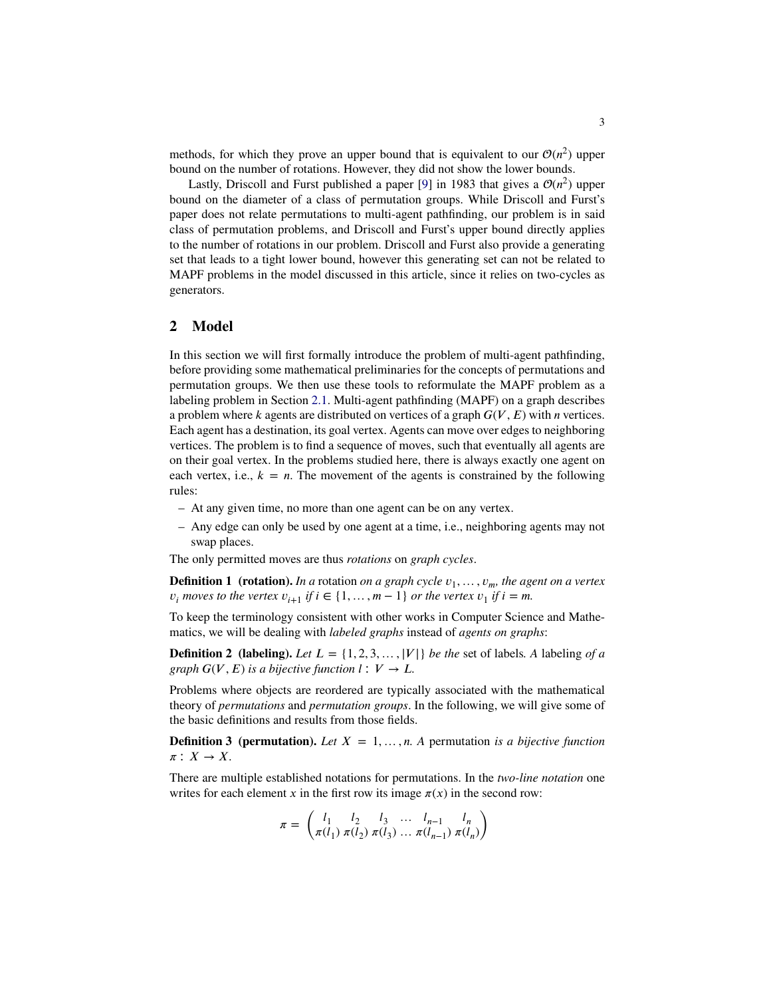methods, for which they prove an upper bound that is equivalent to our  $O(n^2)$  upper bound on the number of rotations. However, they did not show the lower bounds.

Lastly, Driscoll and Furst published a paper [\[9\]](#page-11-8) in 1983 that gives a  $O(n^2)$  upper bound on the diameter of a class of permutation groups. While Driscoll and Furst's paper does not relate permutations to multi-agent pathfinding, our problem is in said class of permutation problems, and Driscoll and Furst's upper bound directly applies to the number of rotations in our problem. Driscoll and Furst also provide a generating set that leads to a tight lower bound, however this generating set can not be related to MAPF problems in the model discussed in this article, since it relies on two-cycles as generators.

# <span id="page-2-0"></span>**2 Model**

In this section we will first formally introduce the problem of multi-agent pathfinding, before providing some mathematical preliminaries for the concepts of permutations and permutation groups. We then use these tools to reformulate the MAPF problem as a labeling problem in Section [2.1.](#page-3-0) Multi-agent pathfinding (MAPF) on a graph describes a problem where  $k$  agents are distributed on vertices of a graph  $G(V, E)$  with *n* vertices. Each agent has a destination, its goal vertex. Agents can move over edges to neighboring vertices. The problem is to find a sequence of moves, such that eventually all agents are on their goal vertex. In the problems studied here, there is always exactly one agent on each vertex, i.e.,  $k = n$ . The movement of the agents is constrained by the following rules:

- At any given time, no more than one agent can be on any vertex.
- Any edge can only be used by one agent at a time, i.e., neighboring agents may not swap places.

The only permitted moves are thus *rotations* on *graph cycles*.

**Definition 1** (rotation). In a rotation *on a graph cycle*  $v_1, \ldots, v_m$ , the agent *on a vertex*  $v_i$  *moves to the vertex*  $v_{i+1}$  *if*  $i \in \{1, ..., m-1\}$  *or the vertex*  $v_1$  *if*  $i = m$ .

To keep the terminology consistent with other works in Computer Science and Mathematics, we will be dealing with *labeled graphs* instead of *agents on graphs*:

**Definition 2** (labeling). Let  $L = \{1, 2, 3, \ldots, |V|\}$  be the set of labels. A labeling of a *graph*  $G(V, E)$  *is a bijective function*  $l: V \rightarrow L$ *.* 

Problems where objects are reordered are typically associated with the mathematical theory of *permutations* and *permutation groups*. In the following, we will give some of the basic definitions and results from those fields.

**Definition 3** (permutation). Let  $X = 1, \ldots, n$ . A permutation *is a bijective function*  $\pi: X \to X$ .

There are multiple established notations for permutations. In the *two-line notation* one writes for each element *x* in the first row its image  $\pi(x)$  in the second row:

$$
\pi = \begin{pmatrix} l_1 & l_2 & l_3 & \dots & l_{n-1} & l_n \\ \pi(l_1) & \pi(l_2) & \pi(l_3) & \dots & \pi(l_{n-1}) & \pi(l_n) \end{pmatrix}
$$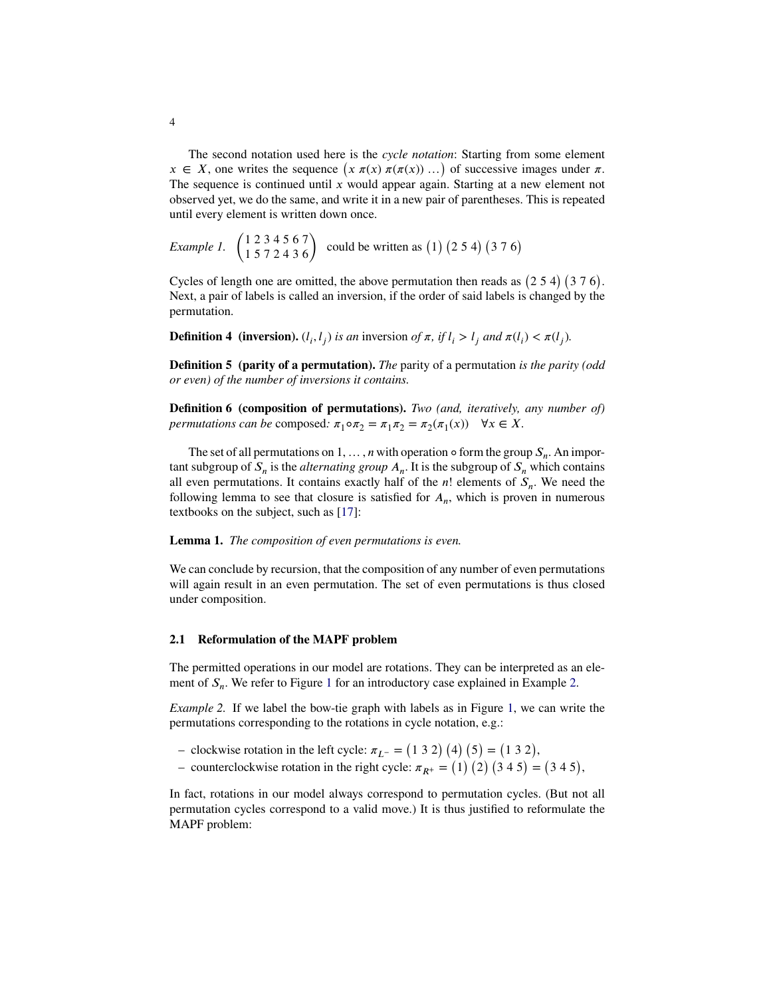The second notation used here is the *cycle notation*: Starting from some element  $x \in X$ , one writes the sequence  $\left(x \pi(x) \pi(\pi(x))\right)$ . Starting from some element  $\pi$ . The sequence is continued until  $x$  would appear again. Starting at a new element not observed yet, we do the same, and write it in a new pair of parentheses. This is repeated until every element is written down once.

*Example 1.*  $\begin{pmatrix} 1 & 2 & 3 & 4 & 5 & 6 & 7 \\ 1 & 5 & 7 & 2 & 4 & 3 & 6 \end{pmatrix}$  could be written as (1) (2 5 4) (3 7 6)

Cycles of length one are omitted, the above permutation then reads as  $(2 5 4) (3 7 6)$ . Next, a pair of labels is called an inversion, if the order of said labels is changed by the permutation.

**Definition 4** (inversion).  $(l_i, l_j)$  is an inversion of  $\pi$ , if  $l_i > l_j$  and  $\pi(l_i) < \pi(l_j)$ .

**Definition 5 (parity of a permutation).** *The* parity of a permutation *is the parity (odd or even) of the number of inversions it contains.*

**Definition 6 (composition of permutations).** *Two (and, iteratively, any number of) permutations can be* composed:  $\pi_1 \circ \pi_2 = \pi_1 \pi_2 = \pi_2(\pi_1(x)) \quad \forall x \in X$ .

The set of all permutations on  $1, \ldots, n$  with operation  $\circ$  form the group  $S_n$ . An important subgroup of  $S_n$  is the *alternating group*  $A_n$ . It is the subgroup of  $S_n$  which contains all even permutations. It contains exactly half of the  $n!$  elements of  $S_n$ . We need the following lemma to see that closure is satisfied for  $A<sub>n</sub>$ , which is proven in numerous textbooks on the subject, such as [\[17\]](#page-11-16):

<span id="page-3-2"></span>**Lemma 1.** *The composition of even permutations is even.*

We can conclude by recursion, that the composition of any number of even permutations will again result in an even permutation. The set of even permutations is thus closed under composition.

#### <span id="page-3-0"></span>**2.1 Reformulation of the MAPF problem**

The permitted operations in our model are rotations. They can be interpreted as an element of  $S_n$ . We refer to Figure [1](#page-4-1) for an introductory case explained in Example [2.](#page-3-1)

*Example 2.* If we label the bow-tie graph with labels as in Figure [1,](#page-4-1) we can write the permutations corresponding to the rotations in cycle notation, e.g.:

- <span id="page-3-1"></span>− clockwise rotation in the left cycle:  $\pi_{L^{-}} = (1\ 3\ 2) (4) (5) = (1\ 3\ 2)$ ,
- counterclockwise rotation in the right cycle:  $\pi_{R^+} = (1)(2)(3 \cdot 4 \cdot 5) = (3 \cdot 4 \cdot 5)$ ,

In fact, rotations in our model always correspond to permutation cycles. (But not all permutation cycles correspond to a valid move.) It is thus justified to reformulate the MAPF problem: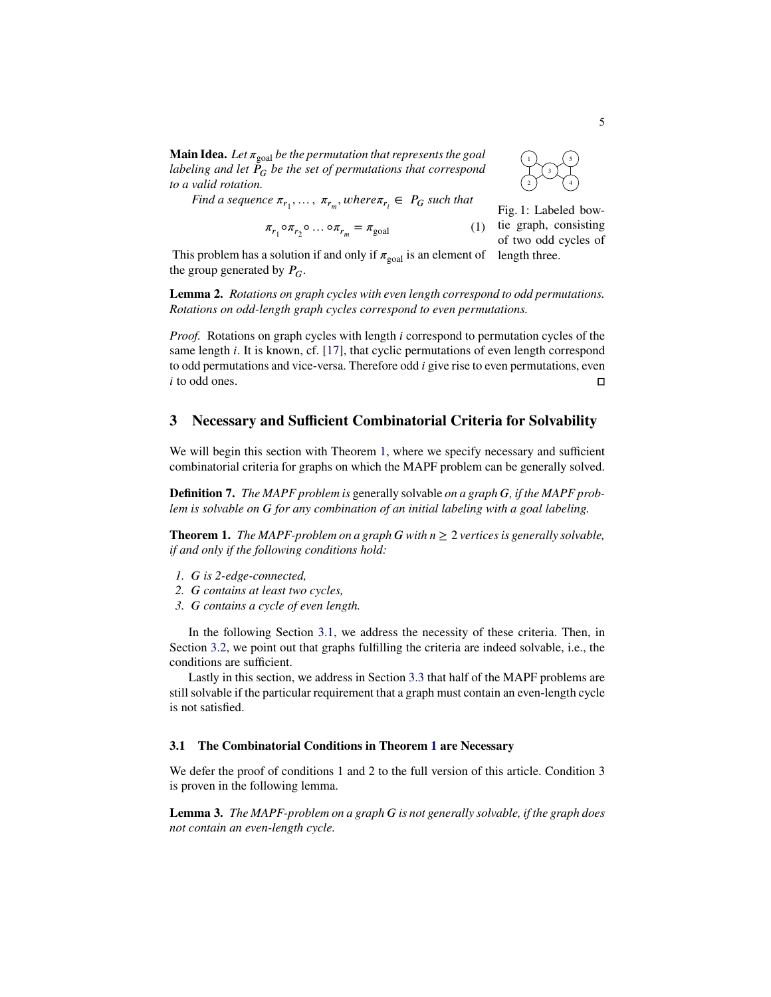**Main Idea.** Let  $\pi_{\text{goal}}$  be the permutation that represents the goal *labeling and let*  $\bar{P}_G$  *be the set of permutations that correspond to a valid rotation.*

*Find a sequence*  $\pi_{r_1}, \ldots, \pi_{r_m}$ , where $\pi_{r_i} \in P_G$  such that

<span id="page-4-5"></span><span id="page-4-4"></span>
$$
\pi_{r_1} \circ \pi_{r_2} \circ \dots \circ \pi_{r_m} = \pi_{\text{goal}} \tag{1}
$$

<span id="page-4-1"></span>

Fig. 1: Labeled bowtie graph, consisting of two odd cycles of length three.

This problem has a solution if and only if  $\pi_{\text{goal}}$  is an element of the group generated by  $P_G$ .

**Lemma 2.** *Rotations on graph cycles with even length correspond to odd permutations. Rotations on odd-length graph cycles correspond to even permutations.*

*Proof.* Rotations on graph cycles with length *i* correspond to permutation cycles of the same length *i*. It is known, cf. [\[17\]](#page-11-16), that cyclic permutations of even length correspond to odd permutations and vice-versa. Therefore odd *i* give rise to even permutations, even *i* to odd ones.  $□$ 

# <span id="page-4-0"></span>**3 Necessary and Sufficient Combinatorial Criteria for Solvability**

We will begin this section with Theorem [1,](#page-4-2) where we specify necessary and sufficient combinatorial criteria for graphs on which the MAPF problem can be generally solved.

**Definition 7.** *The MAPF problem is generally solvable on a graph G, if the MAPF prob*lem is solvable on G for any combination of an initial labeling with a goal labeling.

<span id="page-4-2"></span>**Theorem 1.** *The MAPF-problem on a graph G with*  $n \geq 2$  *vertices is generally solvable, if and only if the following conditions hold:*

- *1. 𝐺 is 2-edge-connected,*
- *2. 𝐺 contains at least two cycles,*
- *3. 𝐺 contains a cycle of even length.*

In the following Section [3.1,](#page-4-3) we address the necessity of these criteria. Then, in Section [3.2,](#page-5-0) we point out that graphs fulfilling the criteria are indeed solvable, i.e., the conditions are sufficient.

Lastly in this section, we address in Section [3.3](#page-7-0) that half of the MAPF problems are still solvable if the particular requirement that a graph must contain an even-length cycle is not satisfied.

### <span id="page-4-3"></span>**3.1 The Combinatorial Conditions in Theorem [1](#page-4-2) are Necessary**

We defer the proof of conditions 1 and 2 to the full version of this article. Condition 3 is proven in the following lemma.

Lemma 3. The MAPF-problem on a graph G is not generally solvable, if the graph does *not contain an even-length cycle.*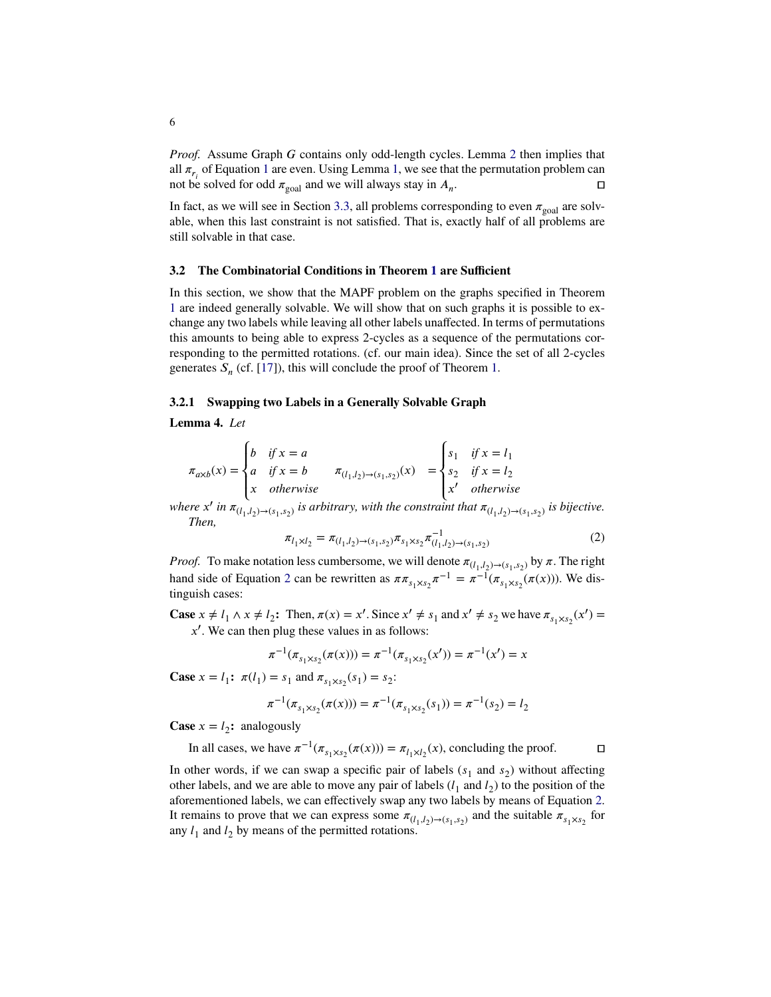*Proof.* Assume Graph *G* contains only odd-length cycles. Lemma [2](#page-4-4) then implies that all  $\pi_{r_i}$  of Equation [1](#page-4-5) are even. Using Lemma [1,](#page-3-2) we see that the permutation problem can not be solved for odd  $\pi_{\text{goal}}$  and we will always stay in  $A_n$ . . *⊓⊔*

In fact, as we will see in Section [3.3,](#page-7-0) all problems corresponding to even  $\pi_{\text{goal}}$  are solvable, when this last constraint is not satisfied. That is, exactly half of all problems are still solvable in that case.

### <span id="page-5-0"></span>**3.2 The Combinatorial Conditions in Theorem [1](#page-4-2) are Sufficient**

In this section, we show that the MAPF problem on the graphs specified in Theorem [1](#page-4-2) are indeed generally solvable. We will show that on such graphs it is possible to exchange any two labels while leaving all other labels unaffected. In terms of permutations this amounts to being able to express 2-cycles as a sequence of the permutations corresponding to the permitted rotations. (cf. our main idea). Since the set of all 2-cycles generates  $S<sub>n</sub>$  (cf. [\[17\]](#page-11-16)), this will conclude the proof of Theorem [1.](#page-4-2)

### **3.2.1 Swapping two Labels in a Generally Solvable Graph**

### **Lemma 4.** *Let*

$$
\pi_{a \times b}(x) = \begin{cases} b & \text{if } x = a \\ a & \text{if } x = b \\ x & \text{otherwise} \end{cases} \qquad \pi_{(l_1, l_2) \to (s_1, s_2)}(x) = \begin{cases} s_1 & \text{if } x = l_1 \\ s_2 & \text{if } x = l_2 \\ x' & \text{otherwise} \end{cases}
$$

where  $x'$  in  $\pi_{(I_1,I_2)\to(s_1,s_2)}$  is arbitrary, with the constraint that  $\pi_{(I_1,I_2)\to(s_1,s_2)}$  is bijective. *Then,*

<span id="page-5-1"></span>
$$
\pi_{l_1 \times l_2} = \pi_{(l_1, l_2) \to (s_1, s_2)} \pi_{s_1 \times s_2} \pi_{(l_1, l_2) \to (s_1, s_2)}^{-1}
$$
\n(2)

*Proof.* To make notation less cumbersome, we will denote  $\pi_{(l_1,l_2)\to(s_1,s_2)}$  by  $\pi$ . The right hand side of Equation [2](#page-5-1) can be rewritten as  $\pi \pi_{s_1 \times s_2} \pi^{-1} = \pi^{-1}(\pi_{s_1 \times s_2}(\pi(x)))$ . We distinguish cases:

**Case**  $x \neq l_1 \land x \neq l_2$ : Then,  $\pi(x) = x'$ . Since  $x' \neq s_1$  and  $x' \neq s_2$  we have  $\pi_{s_1 \times s_2}(x') =$  $x'$ . We can then plug these values in as follows:

$$
\pi^{-1}(\pi_{s_1 \times s_2}(\pi(x))) = \pi^{-1}(\pi_{s_1 \times s_2}(x')) = \pi^{-1}(x') = x
$$

**Case**  $x = l_1$ :  $\pi(l_1) = s_1$  and  $\pi_{s_1 \times s_2}(s_1) = s_2$ :

$$
\pi^{-1}(\pi_{s_1 \times s_2}(\pi(x))) = \pi^{-1}(\pi_{s_1 \times s_2}(s_1)) = \pi^{-1}(s_2) = l_2
$$

**Case**  $x = l_2$ : analogously

In all cases, we have 
$$
\pi^{-1}(\pi_{s_1 \times s_2}(\pi(x))) = \pi_{l_1 \times l_2}(x)
$$
, concluding the proof.  $\Box$ 

In other words, if we can swap a specific pair of labels  $(s_1$  and  $s_2)$  without affecting other labels, and we are able to move any pair of labels ( $l_1$  and  $l_2$ ) to the position of the aforementioned labels, we can effectively swap any two labels by means of Equation [2.](#page-5-1) It remains to prove that we can express some  $\pi_{(l_1,l_2)\to(s_1,s_2)}$  and the suitable  $\pi_{s_1\times s_2}$  for any  $l_1$  and  $l_2$  by means of the permitted rotations.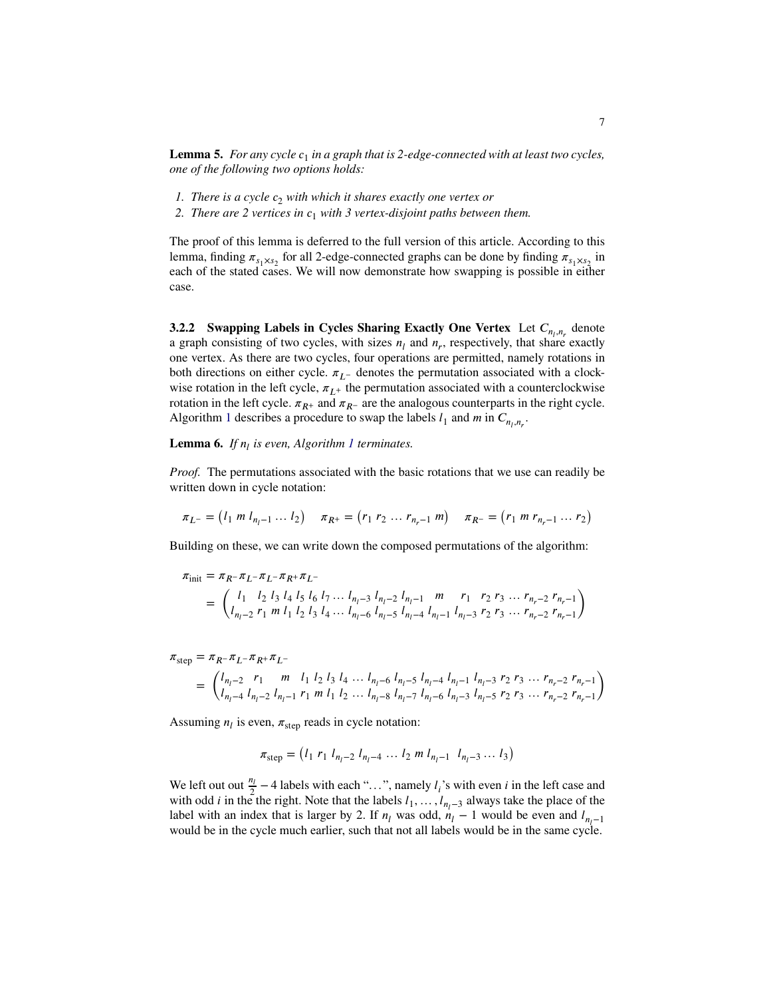**Lemma 5.** For any cycle  $c_1$  in a graph that is 2-edge-connected with at least two cycles, *one of the following two options holds:*

- *1. There is a cycle 𝑐*<sup>2</sup> *with which it shares exactly one vertex or*
- 2. *There are 2 vertices in*  $c_1$  *with 3 vertex-disjoint paths between them.*

The proof of this lemma is deferred to the full version of this article. According to this lemma, finding  $\pi_{s_1 \times s_2}$  for all 2-edge-connected graphs can be done by finding  $\pi_{s_1 \times s_2}$  in each of the stated cases. We will now demonstrate how swapping is possible in either case.

**3.2.2 Swapping Labels in Cycles Sharing Exactly One Vertex** Let  $C_{n_l,n_r}$  denote a graph consisting of two cycles, with sizes  $n_l$  and  $n_r$ , respectively, that share exactly one vertex. As there are two cycles, four operations are permitted, namely rotations in both directions on either cycle.  $\pi_{L}$ <sup>−</sup> denotes the permutation associated with a clockwise rotation in the left cycle,  $\pi_{L^+}$  the permutation associated with a counterclockwise rotation in the left cycle.  $\pi_{R^+}$  and  $\pi_{R^-}$  are the analogous counterparts in the right cycle. Algorithm [1](#page-7-1) describes a procedure to swap the labels  $l_1$  and  $m$  in  $C_{n_l, n_r}$ .

# **Lemma 6.** *If*  $n_l$  *is even, Algorithm [1](#page-7-1) terminates.*

*Proof.* The permutations associated with the basic rotations that we use can readily be written down in cycle notation:

$$
\pi_{L^{-}} = (l_1 \ m \ l_{n_1-1} \dots l_2) \quad \pi_{R^{+}} = (r_1 \ r_2 \ \dots \ r_{n_r-1} \ m) \quad \pi_{R^{-}} = (r_1 \ m \ r_{n_r-1} \dots r_2)
$$

Building on these, we can write down the composed permutations of the algorithm:

$$
\pi_{\text{init}} = \pi_{R^-} \pi_{L^-} \pi_{L^-} \pi_{R^+} \pi_{L^-}
$$
\n
$$
= \begin{pmatrix}\n l_1 & l_2 & l_3 & l_4 & l_5 & l_6 & l_7 & \dots & l_{n_l - 3} & l_{n_l - 2} & l_{n_l - 1} & m & r_1 & r_2 & r_3 & \dots & r_{n_r - 2} & r_{n_r - 1} \\
 l_{n_l - 2} & r_1 & m & l_1 & l_2 & l_3 & l_4 & \dots & l_{n_l - 6} & l_{n_l - 5} & l_{n_l - 4} & l_{n_l - 1} & l_{n_l - 3} & r_2 & r_3 & \dots & r_{n_r - 2} & r_{n_r - 1}\n\end{pmatrix}
$$

$$
\pi_{\text{step}} = \pi_{R^-} \pi_{L^-} \pi_{R^+} \pi_{L^-}
$$
\n
$$
= \begin{pmatrix}\n l_{n_l - 2} & r_1 & m & l_1 & l_2 & l_3 & l_4 & \dots & l_{n_l - 6} & l_{n_l - 5} & l_{n_l - 4} & l_{n_l - 1} & l_{n_l - 3} & r_2 & r_3 & \dots & r_{n_r - 2} & r_{n_r - 1} \\
 l_{n_l - 4} & l_{n_l - 2} & l_{n_l - 1} & r_1 & m & l_1 & l_2 & \dots & l_{n_l - 8} & l_{n_l - 7} & l_{n_l - 6} & l_{n_l - 3} & l_{n_l - 5} & r_2 & r_3 & \dots & r_{n_r - 2} & r_{n_r - 1}\n \end{pmatrix}
$$

Assuming  $n_l$  is even,  $\pi_{\text{step}}$  reads in cycle notation:

$$
\pi_{\text{step}} = (l_1 \; r_1 \; l_{n_1-2} \; l_{n_1-4} \; \dots \; l_2 \; m \; l_{n_1-1} \; l_{n_1-3} \; \dots \; l_3)
$$

We left out out  $\frac{n_l}{2}$  – 4 labels with each "...", namely  $l_i$ 's with even *i* in the left case and with odd *i* in the the right. Note that the labels  $l_1, \ldots, l_{n_l-3}$  always take the place of the label with an index that is larger by 2. If  $n_l$  was odd,  $n_l - 1$  would be even and  $l_{n_l-1}$ would be in the cycle much earlier, such that not all labels would be in the same cycle.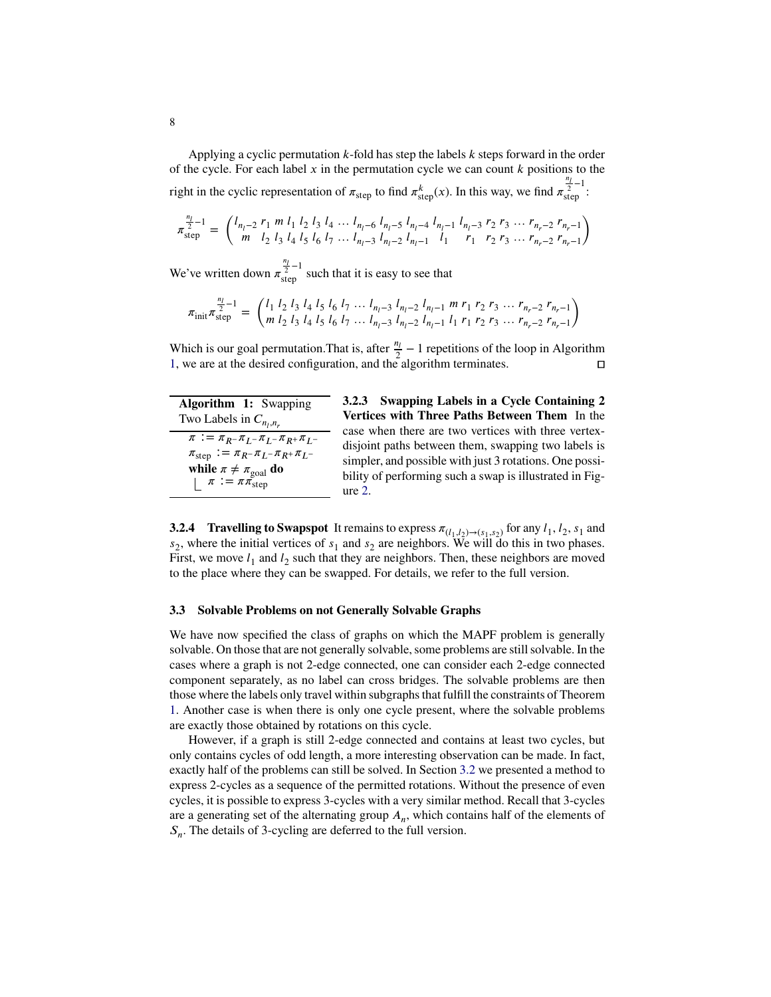Applying a cyclic permutation *k*-fold has step the labels *k* steps forward in the order of the cycle. For each label  $x$  in the permutation cycle we can count  $k$  positions to the right in the cyclic representation of  $\pi_{\text{step}}$  to find  $\pi_{\text{step}}^k(x)$ . In this way, we find  $\pi$  $\frac{n_l}{2} - 1$ <br>step :

$$
\pi_{\text{step}}^{\frac{n_l}{2}-1} = \begin{pmatrix} l_{n_l-2} & r_1 & m l_1 l_2 l_3 l_4 & \dots & l_{n_l-6} l_{n_l-5} l_{n_l-4} l_{n_l-1} l_{n_l-3} r_2 r_3 & \dots & r_{n_r-2} r_{n_r-1} \\ m & l_2 l_3 l_4 l_5 l_6 l_7 & \dots & l_{n_l-3} l_{n_l-2} l_{n_l-1} l_1 & r_1 & r_2 r_3 & \dots & r_{n_r-2} r_{n_r-1} \end{pmatrix}
$$

We've written down  $\pi$  $\frac{n_l}{2}$ <sup>-1</sup> such that it is easy to see that

$$
\pi_{\text{init}} \pi_{\text{step}}^{\frac{n_l}{2}-1} = \begin{pmatrix} l_1 \ l_2 \ l_3 \ l_4 \ l_5 \ l_6 \ l_7 \ \cdots \ l_{n_l-3} \ l_{n_l-2} \ l_{n_l-1} \ m \ r_1 \ r_2 \ r_3 \ \cdots \ r_{n_r-2} \ r_{n_r-1} \\ m \ l_2 \ l_3 \ l_4 \ l_5 \ l_6 \ l_7 \ \cdots \ l_{n_l-3} \ l_{n_l-2} \ l_{n_l-1} \ l_1 \ r_1 \ r_2 \ r_3 \ \cdots \ r_{n_r-2} \ r_{n_r-1} \end{pmatrix}
$$

Which is our goal permutation. That is, after  $\frac{n_l}{2} - 1$  repetitions of the loop in Algorithm [1,](#page-7-1) we are at the desired configuration, and the algorithm terminates. *⊓⊔*

| <b>Algorithm 1:</b> Swapping                                              |
|---------------------------------------------------------------------------|
| Two Labels in $C_{n_l,n_r}$                                               |
| $\pi := \pi_{R^-} \pi_{L^-} \pi_{L^-} \pi_{R^+} \pi_{L^-}$                |
| $\pi_{\text{step}} := \pi_{R^-} \pi_{L^-} \pi_{R^+} \pi_{L^-}$            |
| while $\pi \neq \pi_{\text{goal}}$ do<br>$ \pi  := \pi \pi_{\text{step}}$ |
|                                                                           |

**3.2.3 Swapping Labels in a Cycle Containing 2 Vertices with Three Paths Between Them** In the case when there are two vertices with three vertexdisjoint paths between them, swapping two labels is simpler, and possible with just 3 rotations. One possibility of performing such a swap is illustrated in Figure [2.](#page-8-1)

<span id="page-7-1"></span>**3.2.4** Travelling to Swapspot It remains to express  $\pi_{(l_1, l_2) \to (s_1, s_2)}$  for any  $l_1, l_2, s_1$  and  $s_2$ , where the initial vertices of  $s_1$  and  $s_2$  are neighbors. We will do this in two phases. First, we move  $l_1$  and  $l_2$  such that they are neighbors. Then, these neighbors are moved to the place where they can be swapped. For details, we refer to the full version.

#### <span id="page-7-0"></span>**3.3 Solvable Problems on not Generally Solvable Graphs**

We have now specified the class of graphs on which the MAPF problem is generally solvable. On those that are not generally solvable, some problems are still solvable. In the cases where a graph is not 2-edge connected, one can consider each 2-edge connected component separately, as no label can cross bridges. The solvable problems are then those where the labels only travel within subgraphs that fulfill the constraints of Theorem [1.](#page-4-2) Another case is when there is only one cycle present, where the solvable problems are exactly those obtained by rotations on this cycle.

However, if a graph is still 2-edge connected and contains at least two cycles, but only contains cycles of odd length, a more interesting observation can be made. In fact, exactly half of the problems can still be solved. In Section [3.2](#page-5-0) we presented a method to express 2-cycles as a sequence of the permitted rotations. Without the presence of even cycles, it is possible to express 3-cycles with a very similar method. Recall that 3-cycles are a generating set of the alternating group  $A_n$ , which contains half of the elements of  $S_n$ . The details of 3-cycling are deferred to the full version.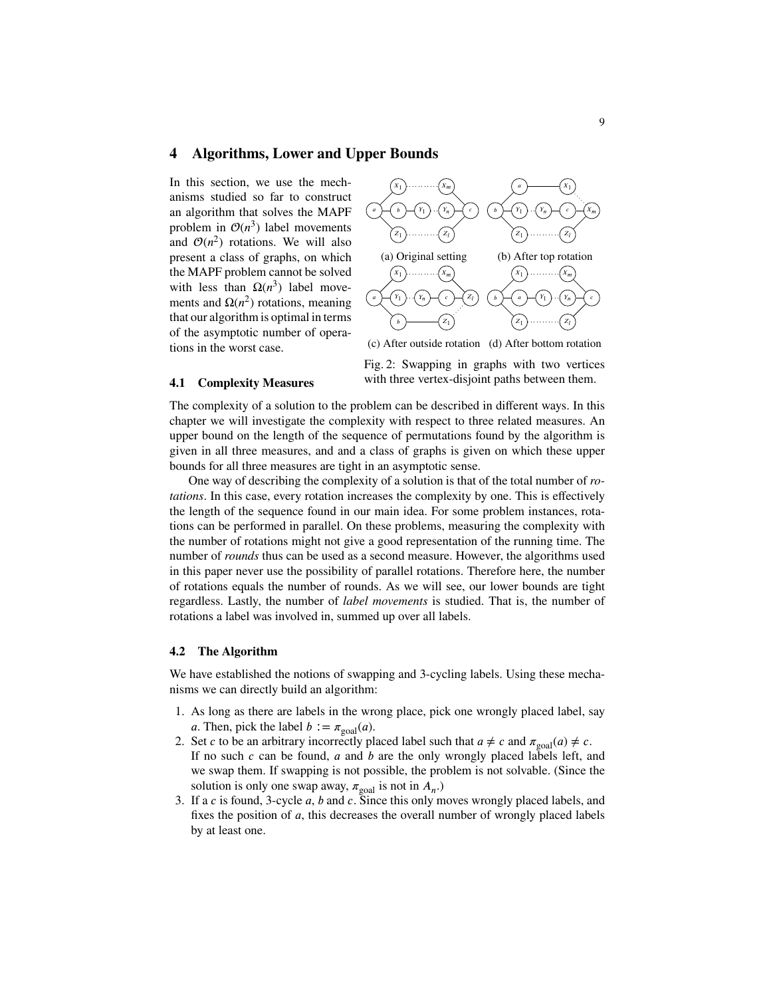### <span id="page-8-0"></span>**4 Algorithms, Lower and Upper Bounds**

In this section, we use the mechanisms studied so far to construct an algorithm that solves the MAPF problem in  $O(n^3)$  label movements and  $O(n^2)$  rotations. We will also present a class of graphs, on which the MAPF problem cannot be solved with less than  $\Omega(n^3)$  label movements and  $\Omega(n^2)$  rotations, meaning that our algorithm is optimal in terms of the asymptotic number of operations in the worst case.

<span id="page-8-1"></span>

(c) After outside rotation (d) After bottom rotation

Fig. 2: Swapping in graphs with two vertices with three vertex-disjoint paths between them.

#### **4.1 Complexity Measures**

The complexity of a solution to the problem can be described in different ways. In this chapter we will investigate the complexity with respect to three related measures. An upper bound on the length of the sequence of permutations found by the algorithm is given in all three measures, and and a class of graphs is given on which these upper bounds for all three measures are tight in an asymptotic sense.

One way of describing the complexity of a solution is that of the total number of *rotations*. In this case, every rotation increases the complexity by one. This is effectively the length of the sequence found in our main idea. For some problem instances, rotations can be performed in parallel. On these problems, measuring the complexity with the number of rotations might not give a good representation of the running time. The number of *rounds* thus can be used as a second measure. However, the algorithms used in this paper never use the possibility of parallel rotations. Therefore here, the number of rotations equals the number of rounds. As we will see, our lower bounds are tight regardless. Lastly, the number of *label movements* is studied. That is, the number of rotations a label was involved in, summed up over all labels.

### <span id="page-8-2"></span>**4.2 The Algorithm**

We have established the notions of swapping and 3-cycling labels. Using these mechanisms we can directly build an algorithm:

- 1. As long as there are labels in the wrong place, pick one wrongly placed label, say *a*. Then, pick the label *b* :=  $\pi_{\text{goal}}(a)$ .
- 2. Set *c* to be an arbitrary incorrectly placed label such that  $a \neq c$  and  $\pi_{\text{goal}}(a) \neq c$ . If no such *c* can be found, *a* and *b* are the only wrongly placed labels left, and we swap them. If swapping is not possible, the problem is not solvable. (Since the solution is only one swap away,  $\pi_{\text{goal}}$  is not in  $A_n$ .)
- 3. If a *c* is found, 3-cycle *a*, *b* and *c*. Since this only moves wrongly placed labels, and fixes the position of *a*, this decreases the overall number of wrongly placed labels by at least one.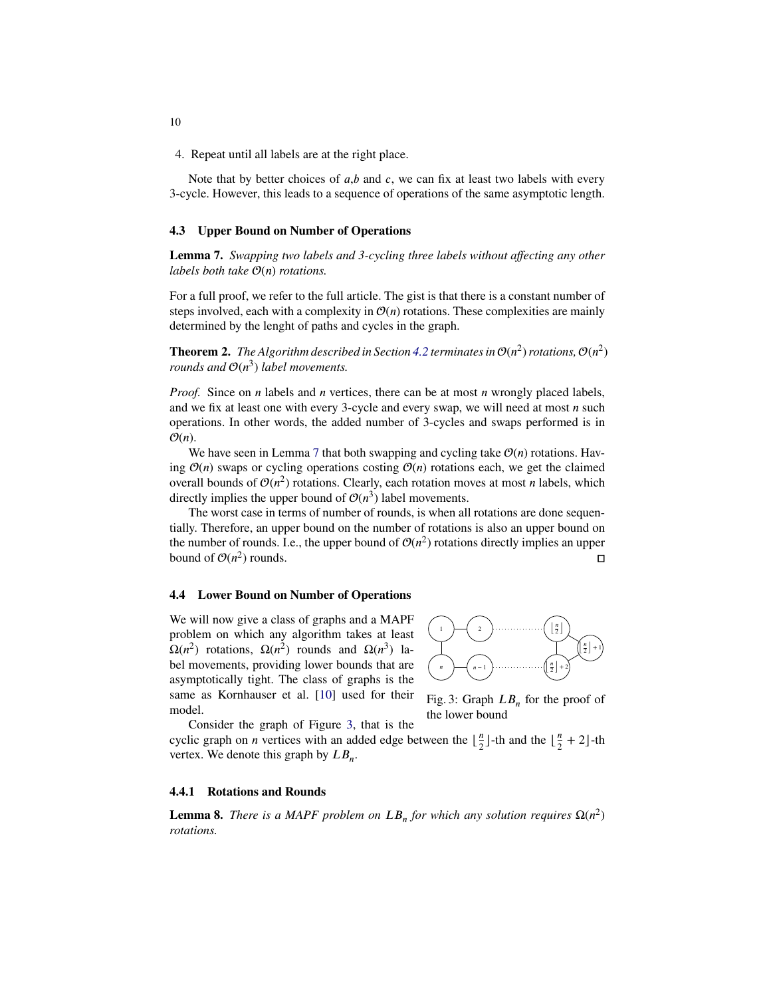4. Repeat until all labels are at the right place.

Note that by better choices of *a*,*b* and *c*, we can fix at least two labels with every 3-cycle. However, this leads to a sequence of operations of the same asymptotic length.

### **4.3 Upper Bound on Number of Operations**

<span id="page-9-1"></span>**Lemma 7.** *Swapping two labels and 3-cycling three labels without affecting any other labels both take*  $O(n)$  *rotations.* 

For a full proof, we refer to the full article. The gist is that there is a constant number of steps involved, each with a complexity in  $O(n)$  rotations. These complexities are mainly determined by the lenght of paths and cycles in the graph.

**Theorem 2.** The Algorithm described in Section [4.2](#page-8-2) terminates in  $\mathcal{O}(n^2)$  rotations,  $\mathcal{O}(n^2)$ *rounds and*  $O(n^3)$  *label movements.* 

*Proof.* Since on *n* labels and *n* vertices, there can be at most *n* wrongly placed labels, and we fix at least one with every 3-cycle and every swap, we will need at most  $n$  such operations. In other words, the added number of 3-cycles and swaps performed is in  $\mathcal{O}(n)$ .

We have seen in Lemma [7](#page-9-1) that both swapping and cycling take  $\mathcal{O}(n)$  rotations. Having  $\mathcal{O}(n)$  swaps or cycling operations costing  $\mathcal{O}(n)$  rotations each, we get the claimed overall bounds of  $O(n^2)$  rotations. Clearly, each rotation moves at most *n* labels, which directly implies the upper bound of  $O(n^3)$  label movements.

The worst case in terms of number of rounds, is when all rotations are done sequentially. Therefore, an upper bound on the number of rotations is also an upper bound on the number of rounds. I.e., the upper bound of  $O(n^2)$  rotations directly implies an upper bound of  $O(n^2)$ ) rounds. *⊓⊔*

### <span id="page-9-0"></span>**4.4 Lower Bound on Number of Operations**

We will now give a class of graphs and a MAPF problem on which any algorithm takes at least  $\Omega(n^2)$  rotations,  $\Omega(n^2)$  rounds and  $\Omega(n^3)$  label movements, providing lower bounds that are asymptotically tight. The class of graphs is the same as Kornhauser et al. [\[10\]](#page-11-9) used for their model.

Fig. 3: Graph  $LB<sub>n</sub>$  for the proof of the lower bound

<span id="page-9-2"></span> $1 \quad$   $-1 \quad 2$ 

⌊ *𝑛* 2 ⌋

⌊ *𝑛* 2  $\mathbf{I}$ 

 $n \rightarrow 4$   $n-1$   $\cdots$   $\left(\left|\frac{n}{2}\right|+2\right)$ 

⌊ *𝑛* 2 ⌋ + 1

Consider the graph of Figure [3,](#page-9-2) that is the

cyclic graph on *n* vertices with an added edge between the  $\frac{1}{2}$  $\frac{n}{2}$ ]-th and the  $\lfloor \frac{n}{2} \rfloor$  $\frac{n}{2}$  + 2 ] -th vertex. We denote this graph by  $LB_n$ .

### <span id="page-9-3"></span>**4.4.1 Rotations and Rounds**

**Lemma 8.** *There is a MAPF problem on*  $LB_n$  *for which any solution requires*  $\Omega(n^2)$ *rotations.*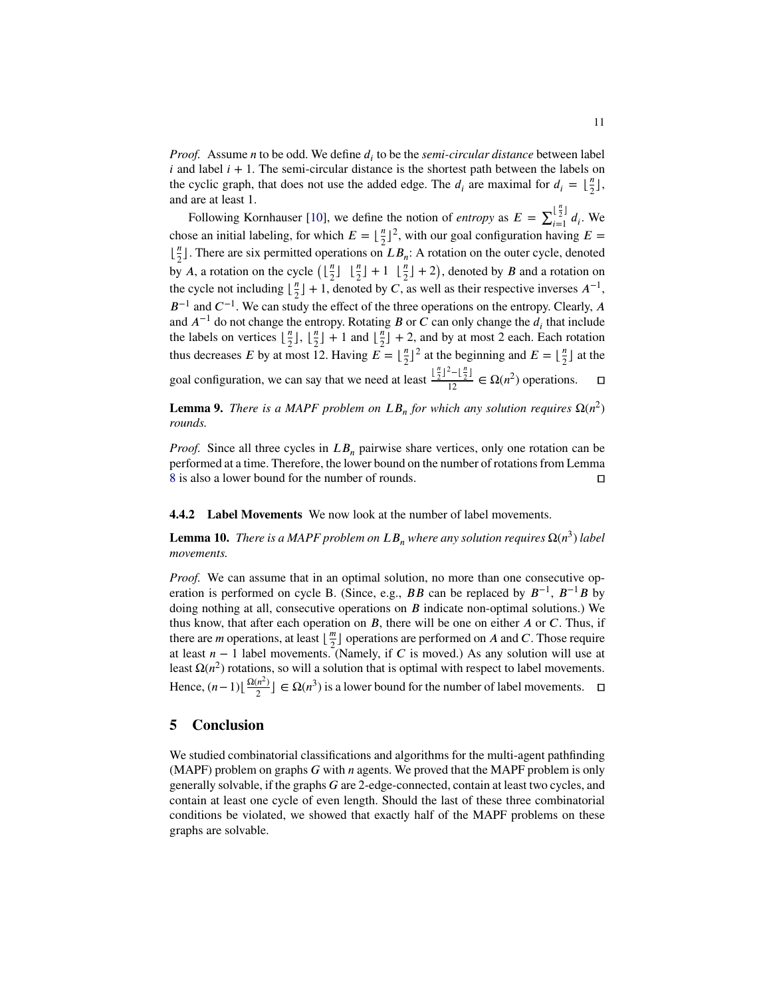*Proof.* Assume *n* to be odd. We define  $d_i$  to be the *semi-circular distance* between label  $i$  and label  $i + 1$ . The semi-circular distance is the shortest path between the labels on the cyclic graph, that does not use the added edge. The  $d_i$  are maximal for  $d_i = \lfloor \frac{n}{2} \rfloor$  $\frac{n}{2}$ , and are at least 1.

Following Kornhauser [\[10\]](#page-11-9), we define the notion of *entropy* as  $E = \sum_{i=1}^{\lfloor \frac{n}{2} \rfloor} d_i$ . We chose an initial labeling, for which  $E = \frac{1}{2}$  $\frac{n}{2}$ <sup>2</sup>, with our goal configuration having  $E =$  $\frac{n}{2}$  $\frac{n}{2}$ ]. There are six permitted operations on  $LB_n$ : A rotation on the outer cycle, denoted by *A*, a rotation on the cycle  $\left(\frac{n}{2}\right)$  $\frac{n}{2}$ ]  $\lfloor \frac{n}{2} \rfloor + 1$   $\lfloor \frac{n}{2} \rfloor$  $\frac{n}{2}$   $\left(1 + 2\right)$ , denoted by *B* and a rotation on the cycle not including  $\lfloor \frac{n}{2} \rfloor$  $\frac{n}{2}$  | + 1, denoted by *C*, as well as their respective inverses  $A^{-1}$ ,  $B^{-1}$  and  $C^{-1}$ . We can study the effect of the three operations on the entropy. Clearly, *A* and  $A^{-1}$  do not change the entropy. Rotating *B* or *C* can only change the  $d_i$  that include the labels on vertices  $\lfloor \frac{n}{2} \rfloor$  $\frac{n}{2}$ ],  $\lfloor \frac{n}{2} \rfloor$  $\frac{n}{2}$   $\frac{1}{2}$  + 1 and  $\frac{n}{2}$  $\frac{n}{2}$  + 2, and by at most 2 each. Each rotation thus decreases *E* by at most 12. Having  $\overline{E} = \lfloor \frac{n}{2} \rfloor$  $\frac{n}{2}$ <sup>2</sup> at the beginning and  $E = \lfloor \frac{n}{2} \rfloor$ <sup>2</sup>  $\frac{n}{2}$  at the goal configuration, we can say that we need at least  $\frac{\lfloor \frac{n}{2} \rfloor^2 - \lfloor \frac{n}{2} \rfloor}{\lfloor 2 \rfloor}$  ∈  $\Omega(n^2)$  operations.  $\Box$ 

**Lemma 9.** *There is a MAPF problem on*  $LB_n$  *for which any solution requires*  $\Omega(n^2)$ *rounds.*

*Proof.* Since all three cycles in  $LB_n$  pairwise share vertices, only one rotation can be performed at a time. Therefore, the lower bound on the number of rotations from Lemma [8](#page-9-3) is also a lower bound for the number of rounds. *⊓⊔*

**4.4.2 Label Movements** We now look at the number of label movements.

**Lemma 10.** *There is a MAPF problem on*  $LB_n$  *where any solution requires*  $\Omega(n^3)$  *label movements.*

*Proof.* We can assume that in an optimal solution, no more than one consecutive operation is performed on cycle B. (Since, e.g.,  $BB$  can be replaced by  $B^{-1}$ ,  $B^{-1}B$  by doing nothing at all, consecutive operations on *B* indicate non-optimal solutions.) We thus know, that after each operation on *B*, there will be one on either *A* or *C*. Thus, if there are *m* operations, at least  $\frac{1}{2}$  $\frac{2^m}{2}$  operations are performed on *A* and *C*. Those require at least  $n - 1$  label movements. (Namely, if *C* is moved.) As any solution will use at least  $\Omega(n^2)$  rotations, so will a solution that is optimal with respect to label movements. Hence,  $(n-1)\left\lfloor \frac{\Omega(n^2)}{2} \right\rfloor$  $\left[\frac{n^2}{2}\right]$   $\in$  Ω(*n*<sup>3</sup>) is a lower bound for the number of label movements. <del>□</del>

### <span id="page-10-0"></span>**5 Conclusion**

We studied combinatorial classifications and algorithms for the multi-agent pathfinding (MAPF) problem on graphs *G* with *n* agents. We proved that the MAPF problem is only generally solvable, if the graphs *G* are 2-edge-connected, contain at least two cycles, and contain at least one cycle of even length. Should the last of these three combinatorial conditions be violated, we showed that exactly half of the MAPF problems on these graphs are solvable.